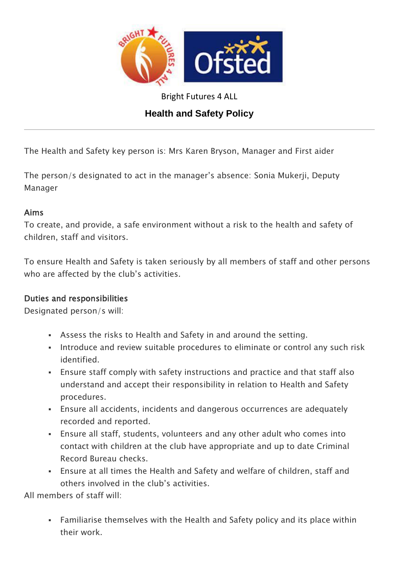

Bright Futures 4 ALL

# **Health and Safety Policy**

The Health and Safety key person is: Mrs Karen Bryson, Manager and First aider

The person/s designated to act in the manager's absence: Sonia Mukerji, Deputy Manager

#### Aims

To create, and provide, a safe environment without a risk to the health and safety of children, staff and visitors.

To ensure Health and Safety is taken seriously by all members of staff and other persons who are affected by the club's activities.

#### Duties and responsibilities

Designated person/s will:

- Assess the risks to Health and Safety in and around the setting.
- Introduce and review suitable procedures to eliminate or control any such risk identified.
- Ensure staff comply with safety instructions and practice and that staff also understand and accept their responsibility in relation to Health and Safety procedures.
- Ensure all accidents, incidents and dangerous occurrences are adequately recorded and reported.
- Ensure all staff, students, volunteers and any other adult who comes into contact with children at the club have appropriate and up to date Criminal Record Bureau checks.
- Ensure at all times the Health and Safety and welfare of children, staff and others involved in the club's activities.

All members of staff will:

 Familiarise themselves with the Health and Safety policy and its place within their work.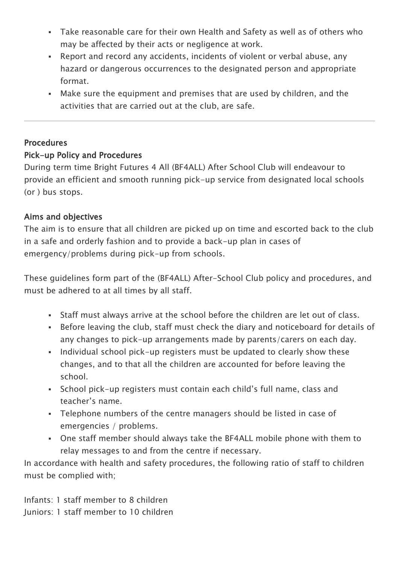- Take reasonable care for their own Health and Safety as well as of others who may be affected by their acts or negligence at work.
- Report and record any accidents, incidents of violent or verbal abuse, any hazard or dangerous occurrences to the designated person and appropriate format.
- Make sure the equipment and premises that are used by children, and the activities that are carried out at the club, are safe.

## **Procedures**

## Pick-up Policy and Procedures

During term time Bright Futures 4 All (BF4ALL) After School Club will endeavour to provide an efficient and smooth running pick-up service from designated local schools (or ) bus stops.

#### Aims and objectives

The aim is to ensure that all children are picked up on time and escorted back to the club in a safe and orderly fashion and to provide a back-up plan in cases of emergency/problems during pick-up from schools.

These guidelines form part of the (BF4ALL) After-School Club policy and procedures, and must be adhered to at all times by all staff.

- Staff must always arrive at the school before the children are let out of class.
- Before leaving the club, staff must check the diary and noticeboard for details of any changes to pick-up arrangements made by parents/carers on each day.
- Individual school pick-up registers must be updated to clearly show these changes, and to that all the children are accounted for before leaving the school.
- School pick-up registers must contain each child's full name, class and teacher's name.
- Telephone numbers of the centre managers should be listed in case of emergencies / problems.
- One staff member should always take the BF4ALL mobile phone with them to relay messages to and from the centre if necessary.

In accordance with health and safety procedures, the following ratio of staff to children must be complied with;

Infants: 1 staff member to 8 children Juniors: 1 staff member to 10 children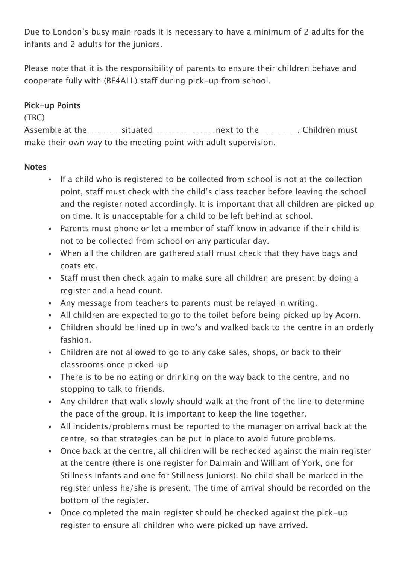Due to London's busy main roads it is necessary to have a minimum of 2 adults for the infants and 2 adults for the juniors.

Please note that it is the responsibility of parents to ensure their children behave and cooperate fully with (BF4ALL) staff during pick-up from school.

## Pick-up Points

#### (TBC)

Assemble at the \_\_\_\_\_\_\_\_\_situated \_\_\_\_\_\_\_\_\_\_\_\_\_\_\_next to the \_\_\_\_\_\_\_\_\_. Children must make their own way to the meeting point with adult supervision.

## **Notes**

- If a child who is registered to be collected from school is not at the collection point, staff must check with the child's class teacher before leaving the school and the register noted accordingly. It is important that all children are picked up on time. It is unacceptable for a child to be left behind at school.
- Parents must phone or let a member of staff know in advance if their child is not to be collected from school on any particular day.
- When all the children are gathered staff must check that they have bags and coats etc.
- Staff must then check again to make sure all children are present by doing a register and a head count.
- Any message from teachers to parents must be relayed in writing.
- All children are expected to go to the toilet before being picked up by Acorn.
- Children should be lined up in two's and walked back to the centre in an orderly fashion.
- Children are not allowed to go to any cake sales, shops, or back to their classrooms once picked-up
- There is to be no eating or drinking on the way back to the centre, and no stopping to talk to friends.
- Any children that walk slowly should walk at the front of the line to determine the pace of the group. It is important to keep the line together.
- All incidents/problems must be reported to the manager on arrival back at the centre, so that strategies can be put in place to avoid future problems.
- Once back at the centre, all children will be rechecked against the main register at the centre (there is one register for Dalmain and William of York, one for Stillness Infants and one for Stillness Juniors). No child shall be marked in the register unless he/she is present. The time of arrival should be recorded on the bottom of the register.
- Once completed the main register should be checked against the pick-up register to ensure all children who were picked up have arrived.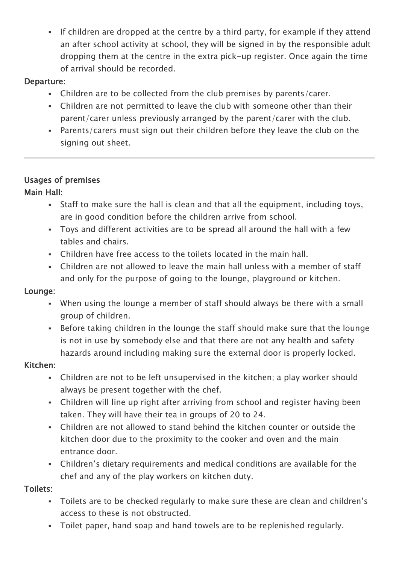If children are dropped at the centre by a third party, for example if they attend an after school activity at school, they will be signed in by the responsible adult dropping them at the centre in the extra pick-up register. Once again the time of arrival should be recorded.

### Departure:

- Children are to be collected from the club premises by parents/carer.
- Children are not permitted to leave the club with someone other than their parent/carer unless previously arranged by the parent/carer with the club.
- Parents/carers must sign out their children before they leave the club on the signing out sheet.

## Usages of premises

#### Main Hall:

- Staff to make sure the hall is clean and that all the equipment, including toys, are in good condition before the children arrive from school.
- Toys and different activities are to be spread all around the hall with a few tables and chairs.
- Children have free access to the toilets located in the main hall.
- Children are not allowed to leave the main hall unless with a member of staff and only for the purpose of going to the lounge, playground or kitchen.

#### Lounge:

- When using the lounge a member of staff should always be there with a small group of children.
- Before taking children in the lounge the staff should make sure that the lounge is not in use by somebody else and that there are not any health and safety hazards around including making sure the external door is properly locked.

#### Kitchen:

- Children are not to be left unsupervised in the kitchen; a play worker should always be present together with the chef.
- Children will line up right after arriving from school and register having been taken. They will have their tea in groups of 20 to 24.
- Children are not allowed to stand behind the kitchen counter or outside the kitchen door due to the proximity to the cooker and oven and the main entrance door.
- Children's dietary requirements and medical conditions are available for the chef and any of the play workers on kitchen duty.

## Toilets:

- Toilets are to be checked regularly to make sure these are clean and children's access to these is not obstructed.
- Toilet paper, hand soap and hand towels are to be replenished regularly.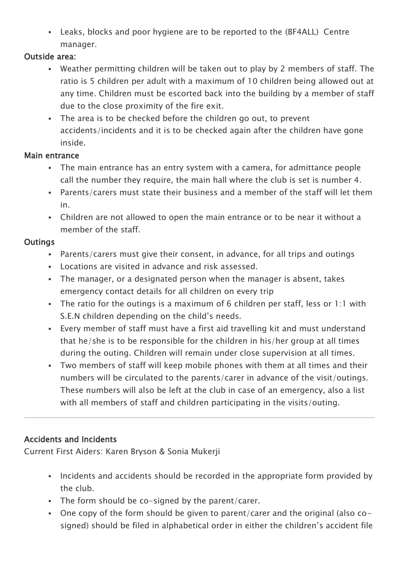Leaks, blocks and poor hygiene are to be reported to the (BF4ALL) Centre manager.

#### Outside area:

- Weather permitting children will be taken out to play by 2 members of staff. The ratio is 5 children per adult with a maximum of 10 children being allowed out at any time. Children must be escorted back into the building by a member of staff due to the close proximity of the fire exit.
- The area is to be checked before the children go out, to prevent accidents/incidents and it is to be checked again after the children have gone inside.

#### Main entrance

- The main entrance has an entry system with a camera, for admittance people call the number they require, the main hall where the club is set is number 4.
- Parents/carers must state their business and a member of the staff will let them in.
- Children are not allowed to open the main entrance or to be near it without a member of the staff.

## **Outings**

- Parents/carers must give their consent, in advance, for all trips and outings
- Locations are visited in advance and risk assessed.
- The manager, or a designated person when the manager is absent, takes emergency contact details for all children on every trip
- The ratio for the outings is a maximum of 6 children per staff, less or 1:1 with S.E.N children depending on the child's needs.
- Every member of staff must have a first aid travelling kit and must understand that he/she is to be responsible for the children in his/her group at all times during the outing. Children will remain under close supervision at all times.
- Two members of staff will keep mobile phones with them at all times and their numbers will be circulated to the parents/carer in advance of the visit/outings. These numbers will also be left at the club in case of an emergency, also a list with all members of staff and children participating in the visits/outing.

# Accidents and Incidents

Current First Aiders: Karen Bryson & Sonia Mukerji

- Incidents and accidents should be recorded in the appropriate form provided by the club.
- The form should be co-signed by the parent/carer.
- One copy of the form should be given to parent/carer and the original (also cosigned) should be filed in alphabetical order in either the children's accident file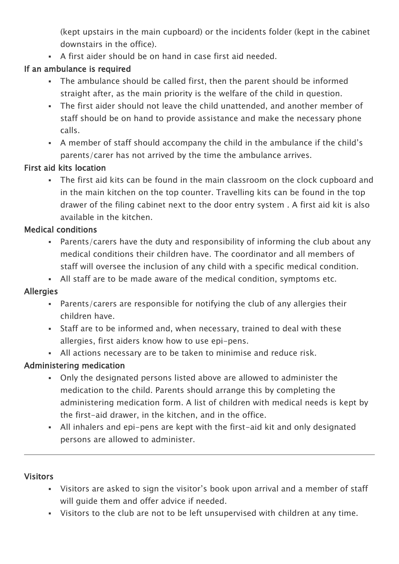(kept upstairs in the main cupboard) or the incidents folder (kept in the cabinet downstairs in the office).

A first aider should be on hand in case first aid needed.

# If an ambulance is required

- The ambulance should be called first, then the parent should be informed straight after, as the main priority is the welfare of the child in question.
- The first aider should not leave the child unattended, and another member of staff should be on hand to provide assistance and make the necessary phone calls.
- A member of staff should accompany the child in the ambulance if the child's parents/carer has not arrived by the time the ambulance arrives.

## First aid kits location

 The first aid kits can be found in the main classroom on the clock cupboard and in the main kitchen on the top counter. Travelling kits can be found in the top drawer of the filing cabinet next to the door entry system . A first aid kit is also available in the kitchen.

## Medical conditions

- Parents/carers have the duty and responsibility of informing the club about any medical conditions their children have. The coordinator and all members of staff will oversee the inclusion of any child with a specific medical condition.
- All staff are to be made aware of the medical condition, symptoms etc.

# Allergies

- Parents/carers are responsible for notifying the club of any allergies their children have.
- Staff are to be informed and, when necessary, trained to deal with these allergies, first aiders know how to use epi-pens.
- All actions necessary are to be taken to minimise and reduce risk.

# Administering medication

- Only the designated persons listed above are allowed to administer the medication to the child. Parents should arrange this by completing the administering medication form. A list of children with medical needs is kept by the first-aid drawer, in the kitchen, and in the office.
- All inhalers and epi-pens are kept with the first-aid kit and only designated persons are allowed to administer.

# **Visitors**

- Visitors are asked to sign the visitor's book upon arrival and a member of staff will guide them and offer advice if needed.
- Visitors to the club are not to be left unsupervised with children at any time.